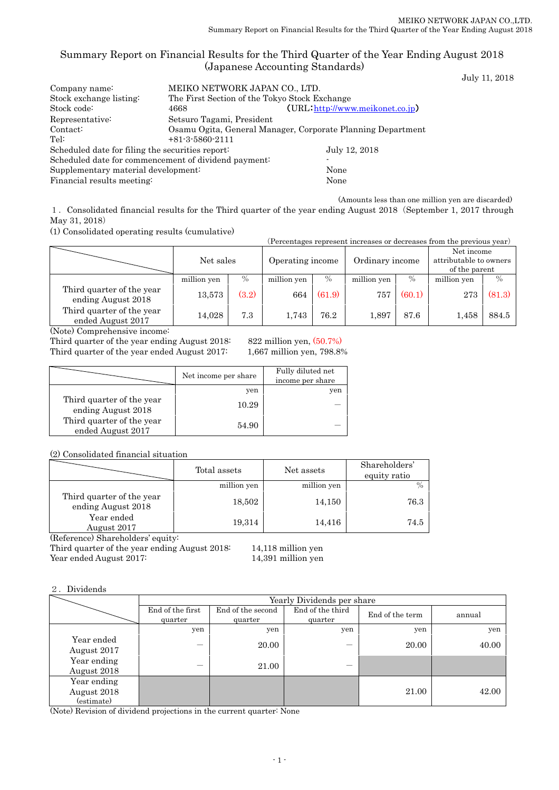## Summary Report on Financial Results for the Third Quarter of the Year Ending August 2018 (Japanese Accounting Standards)

July 11, 2018

| MEIKO NETWORK JAPAN CO., LTD.                        |                                                             |  |  |  |
|------------------------------------------------------|-------------------------------------------------------------|--|--|--|
| The First Section of the Tokyo Stock Exchange        |                                                             |  |  |  |
| 4668                                                 | (URL http://www.meikonet.co.jp)                             |  |  |  |
| Setsuro Tagami, President                            |                                                             |  |  |  |
|                                                      | Osamu Ogita, General Manager, Corporate Planning Department |  |  |  |
| $+81-3-5860-2111$                                    |                                                             |  |  |  |
| Scheduled date for filing the securities report:     | July 12, 2018                                               |  |  |  |
| Scheduled date for commencement of dividend payment: |                                                             |  |  |  |
| Supplementary material development:                  |                                                             |  |  |  |
| Financial results meeting:                           |                                                             |  |  |  |
|                                                      |                                                             |  |  |  |

(Amounts less than one million yen are discarded)

1.Consolidated financial results for the Third quarter of the year ending August 2018(September 1, 2017 through May 31, 2018)

(1) Consolidated operating results (cumulative)

| (Percentages represent increases or decreases from the previous year) |                               |       |             |        |             |                 |             |                                                       |  |
|-----------------------------------------------------------------------|-------------------------------|-------|-------------|--------|-------------|-----------------|-------------|-------------------------------------------------------|--|
|                                                                       | Net sales<br>Operating income |       |             |        |             | Ordinary income |             | Net income<br>attributable to owners<br>of the parent |  |
|                                                                       | million yen                   | $\%$  | million yen | $\%$   | million yen | $\%$            | million yen | $\frac{0}{0}$                                         |  |
| Third quarter of the year<br>ending August 2018                       | 13,573                        | (3.2) | 664         | (61.9) | 757         | (60.1)          | 273         | (81.3)                                                |  |
| Third quarter of the year<br>ended August 2017                        | 14,028                        | 7.3   | 1,743       | 76.2   | 1.897       | 87.6            | 1,458       | 884.5                                                 |  |

(Note) Comprehensive income:

Third quarter of the year ending August 2018: 822 million yen, (50.7%) Third quarter of the year ended August 2017: 1,667 million yen, 798.8%

|                                                 | Net income per share | Fully diluted net<br>income per share |
|-------------------------------------------------|----------------------|---------------------------------------|
|                                                 | yen                  | yen                                   |
| Third quarter of the year<br>ending August 2018 | 10.29                |                                       |
| Third quarter of the year<br>ended August 2017  | 54.90                |                                       |

(2) Consolidated financial situation

|                                                 | Total assets | Net assets  | Shareholders'<br>equity ratio |
|-------------------------------------------------|--------------|-------------|-------------------------------|
|                                                 | million yen  | million yen | $\frac{0}{0}$                 |
| Third quarter of the year<br>ending August 2018 | 18,502       | 14,150      | 76.3                          |
| Year ended<br>August 2017                       | 19,314       | 14,416      | 74.5                          |

(Reference) Shareholders' equity:

Third quarter of the year ending August 2018: 14,118 million yen<br>Year ended August 2017: 14,391 million yen Year ended August 2017:

#### 2.Dividends

|                                          | Yearly Dividends per share  |                              |                             |                 |        |  |  |  |
|------------------------------------------|-----------------------------|------------------------------|-----------------------------|-----------------|--------|--|--|--|
|                                          | End of the first<br>quarter | End of the second<br>quarter | End of the third<br>quarter | End of the term | annual |  |  |  |
|                                          | yen                         | yen                          | yen                         | yen             | yen    |  |  |  |
| Year ended<br>August 2017                |                             | 20.00                        |                             | 20.00           | 40.00  |  |  |  |
| Year ending<br>August 2018               |                             | 21.00                        |                             |                 |        |  |  |  |
| Year ending<br>August 2018<br>(estimate) |                             |                              |                             | 21.00           | 42.00  |  |  |  |

(Note) Revision of dividend projections in the current quarter: None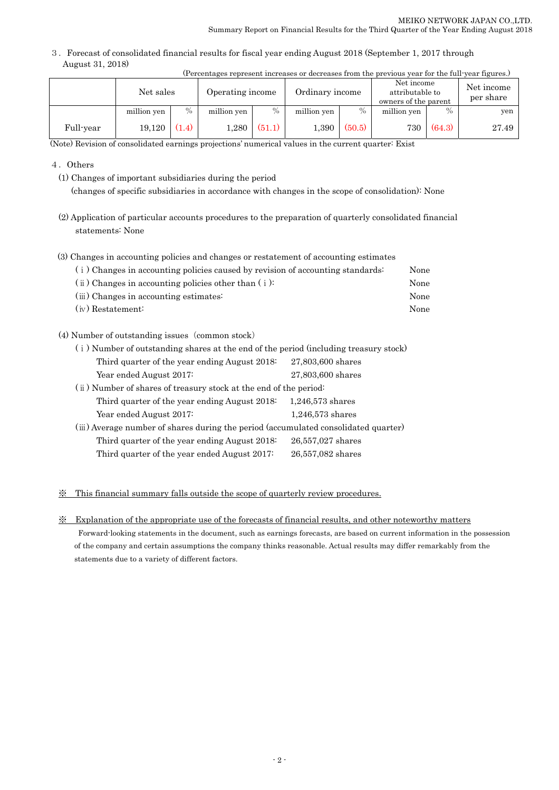3.Forecast of consolidated financial results for fiscal year ending August 2018 (September 1, 2017 through August 31, 2018)

|           | (Percentages represent increases or decreases from the previous year for the full-year figures.) |       |                  |               |                 |        |                                                       |        |                         |
|-----------|--------------------------------------------------------------------------------------------------|-------|------------------|---------------|-----------------|--------|-------------------------------------------------------|--------|-------------------------|
|           | Net sales                                                                                        |       | Operating income |               | Ordinary income |        | Net income<br>attributable to<br>owners of the parent |        | Net income<br>per share |
|           | million yen                                                                                      | $\%$  | million yen      | $\frac{0}{0}$ | million yen     | $\%$   | million yen                                           | $\%$   | yen                     |
| Full-year | 19.120                                                                                           | (1.4) | 1,280            | (51.1)        | $1.390\,$       | (50.5) | 730 l                                                 | (64.3) | 27.49                   |

(Note) Revision of consolidated earnings projections' numerical values in the current quarter: Exist

4.Others

(1) Changes of important subsidiaries during the period (changes of specific subsidiaries in accordance with changes in the scope of consolidation): None

(2) Application of particular accounts procedures to the preparation of quarterly consolidated financial statements: None

(3) Changes in accounting policies and changes or restatement of accounting estimates

|                     | (i) Changes in accounting policies caused by revision of accounting standards: | None |
|---------------------|--------------------------------------------------------------------------------|------|
|                     | $(i)$ Changes in accounting policies other than $(i)$ :                        | None |
|                     | (iii) Changes in accounting estimates:                                         | None |
| $(iv)$ Restatement: |                                                                                | None |

(4) Number of outstanding issues (common stock)

| (i) Number of outstanding shares at the end of the period (including treasury stock) |                    |  |  |  |
|--------------------------------------------------------------------------------------|--------------------|--|--|--|
| Third quarter of the year ending August 2018.                                        | 27,803,600 shares  |  |  |  |
| Year ended August 2017:                                                              | 27,803,600 shares  |  |  |  |
| (ii) Number of shares of treasury stock at the end of the period:                    |                    |  |  |  |
| Third quarter of the year ending August 2018:                                        | $1,246,573$ shares |  |  |  |
| Year ended August 2017:                                                              | $1,246,573$ shares |  |  |  |
| (iii) Average number of shares during the period (accumulated consolidated quarter)  |                    |  |  |  |
| Third quarter of the year ending August 2018.                                        | 26,557,027 shares  |  |  |  |
| Third quarter of the year ended August 2017:                                         | 26,557,082 shares  |  |  |  |
|                                                                                      |                    |  |  |  |

### ※ This financial summary falls outside the scope of quarterly review procedures.

※ Explanation of the appropriate use of the forecasts of financial results, and other noteworthy matters

Forward-looking statements in the document, such as earnings forecasts, are based on current information in the possession of the company and certain assumptions the company thinks reasonable. Actual results may differ remarkably from the statements due to a variety of different factors.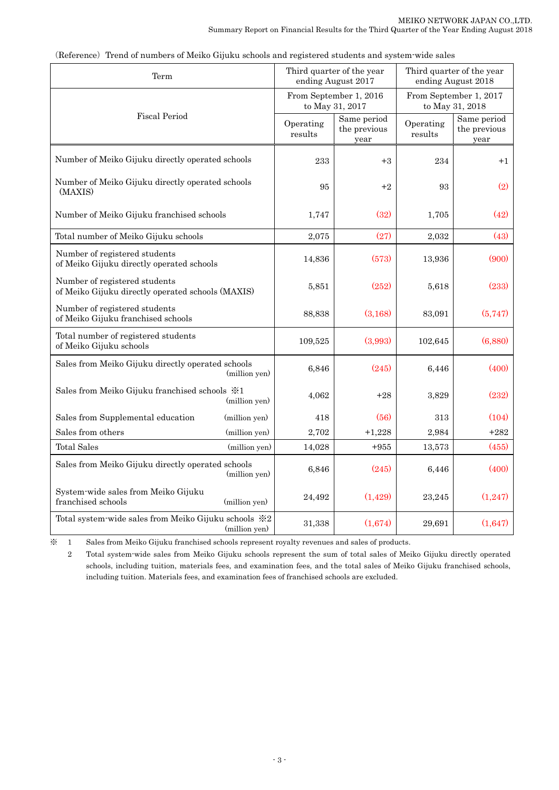| Term                                                                               |               |                      | Third quarter of the year<br>ending August 2017 | Third quarter of the year<br>ending August 2018 |                                     |
|------------------------------------------------------------------------------------|---------------|----------------------|-------------------------------------------------|-------------------------------------------------|-------------------------------------|
|                                                                                    |               |                      | From September 1, 2016<br>to May 31, 2017       | From September 1, 2017<br>to May 31, 2018       |                                     |
| <b>Fiscal Period</b>                                                               |               | Operating<br>results | Same period<br>the previous<br>year             | Operating<br>results                            | Same period<br>the previous<br>year |
| Number of Meiko Gijuku directly operated schools                                   |               | 233                  | $+3$                                            | 234                                             | $+1$                                |
| Number of Meiko Gijuku directly operated schools<br>(MAXIS)                        |               | 95                   | $+2$                                            | 93                                              | (2)                                 |
| Number of Meiko Gijuku franchised schools                                          |               | 1,747                | (32)                                            | 1,705                                           | (42)                                |
| Total number of Meiko Gijuku schools                                               |               | 2,075                | (27)                                            | 2,032                                           | (43)                                |
| Number of registered students<br>of Meiko Gijuku directly operated schools         |               | 14,836               | (573)                                           | 13,936                                          | (900)                               |
| Number of registered students<br>of Meiko Gijuku directly operated schools (MAXIS) |               | 5,851                | (252)                                           | 5,618                                           | (233)                               |
| Number of registered students<br>of Meiko Gijuku franchised schools                |               | 88,838               | (3,168)                                         | 83,091                                          | (5,747)                             |
| Total number of registered students<br>of Meiko Gijuku schools                     |               | 109,525              | (3,993)                                         | 102,645                                         | (6,880)                             |
| Sales from Meiko Gijuku directly operated schools                                  | (million yen) | 6,846                | (245)                                           | 6,446                                           | (400)                               |
| Sales from Meiko Gijuku franchised schools $\frac{1}{2}$ 1                         | (million yen) | 4,062                | $+28$                                           | 3,829                                           | (232)                               |
| Sales from Supplemental education                                                  | (million yen) | 418                  | (56)                                            | 313                                             | (104)                               |
| Sales from others                                                                  | (million yen) | 2,702                | $+1,228$                                        | 2,984                                           | $+282$                              |
| <b>Total Sales</b>                                                                 | (million yen) | 14,028               | $+955$                                          | 13,573                                          | (455)                               |
| Sales from Meiko Gijuku directly operated schools                                  | (million yen) | 6,846                | (245)                                           | 6,446                                           | (400)                               |
| System-wide sales from Meiko Gijuku<br>franchised schools                          | (million yen) | 24,492               | (1,429)                                         | 23,245                                          | (1,247)                             |
| Total system-wide sales from Meiko Gijuku schools ※2                               | (million yen) | 31,338               | (1,674)                                         | 29,691                                          | (1,647)                             |

(Reference) Trend of numbers of Meiko Gijuku schools and registered students and system-wide sales

※ 1 Sales from Meiko Gijuku franchised schools represent royalty revenues and sales of products.

 2 Total system-wide sales from Meiko Gijuku schools represent the sum of total sales of Meiko Gijuku directly operated schools, including tuition, materials fees, and examination fees, and the total sales of Meiko Gijuku franchised schools, including tuition. Materials fees, and examination fees of franchised schools are excluded.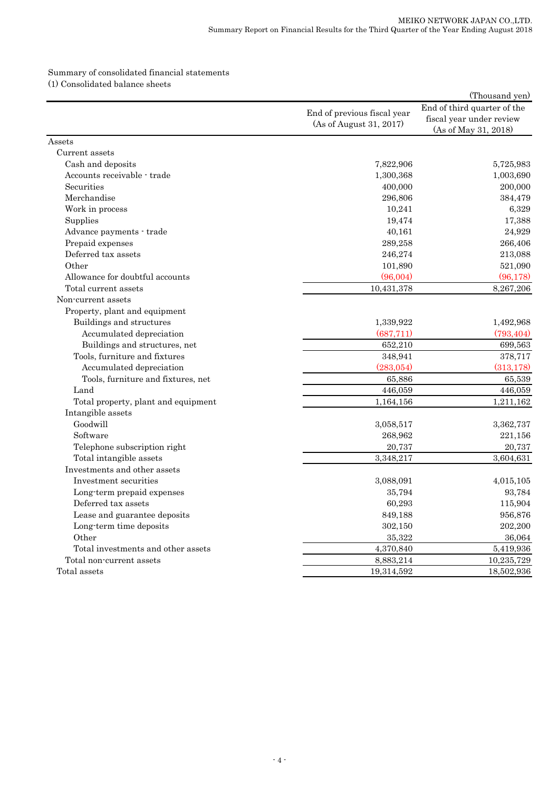#### Summary of consolidated financial statements (1) Consolidated balance sheets

|                                     |                                                        | (Thousand yen)                                                                  |
|-------------------------------------|--------------------------------------------------------|---------------------------------------------------------------------------------|
|                                     | End of previous fiscal year<br>(As of August 31, 2017) | End of third quarter of the<br>fiscal year under review<br>(As of May 31, 2018) |
| Assets                              |                                                        |                                                                                 |
| Current assets                      |                                                        |                                                                                 |
| Cash and deposits                   | 7,822,906                                              | 5,725,983                                                                       |
| Accounts receivable - trade         | 1,300,368                                              | 1,003,690                                                                       |
| Securities                          | 400,000                                                | 200,000                                                                         |
| Merchandise                         | 296,806                                                | 384,479                                                                         |
| Work in process                     | 10,241                                                 | 6,329                                                                           |
| Supplies                            | 19,474                                                 | 17,388                                                                          |
| Advance payments - trade            | 40,161                                                 | 24,929                                                                          |
| Prepaid expenses                    | 289,258                                                | 266,406                                                                         |
| Deferred tax assets                 | 246,274                                                | 213,088                                                                         |
| Other                               | 101,890                                                | 521,090                                                                         |
| Allowance for doubtful accounts     | (96,004)                                               | (96, 178)                                                                       |
| Total current assets                | 10,431,378                                             | 8,267,206                                                                       |
| Non-current assets                  |                                                        |                                                                                 |
| Property, plant and equipment       |                                                        |                                                                                 |
| Buildings and structures            | 1,339,922                                              | 1,492,968                                                                       |
| Accumulated depreciation            | (687,711)                                              | (793, 404)                                                                      |
| Buildings and structures, net       | 652,210                                                | 699,563                                                                         |
| Tools, furniture and fixtures       | 348,941                                                | 378,717                                                                         |
| Accumulated depreciation            | (283,054)                                              | (313, 178)                                                                      |
| Tools, furniture and fixtures, net  | 65,886                                                 | 65,539                                                                          |
| Land                                | 446,059                                                | 446,059                                                                         |
| Total property, plant and equipment | 1,164,156                                              | 1,211,162                                                                       |
| Intangible assets                   |                                                        |                                                                                 |
| Goodwill                            | 3,058,517                                              | 3,362,737                                                                       |
| Software                            | 268,962                                                | 221,156                                                                         |
| Telephone subscription right        | 20,737                                                 | 20,737                                                                          |
| Total intangible assets             | 3,348,217                                              | 3,604,631                                                                       |
| Investments and other assets        |                                                        |                                                                                 |
| Investment securities               | 3,088,091                                              | 4,015,105                                                                       |
| Long-term prepaid expenses          | 35,794                                                 | 93,784                                                                          |
| Deferred tax assets                 | 60,293                                                 | 115,904                                                                         |
| Lease and guarantee deposits        | 849,188                                                | 956,876                                                                         |
| Long-term time deposits             | 302,150                                                | 202,200                                                                         |
| Other                               | 35,322                                                 | 36,064                                                                          |
| Total investments and other assets  | 4,370,840                                              | 5,419,936                                                                       |
| Total non-current assets            | 8,883,214                                              | 10,235,729                                                                      |
| Total assets                        | 19,314,592                                             | 18,502,936                                                                      |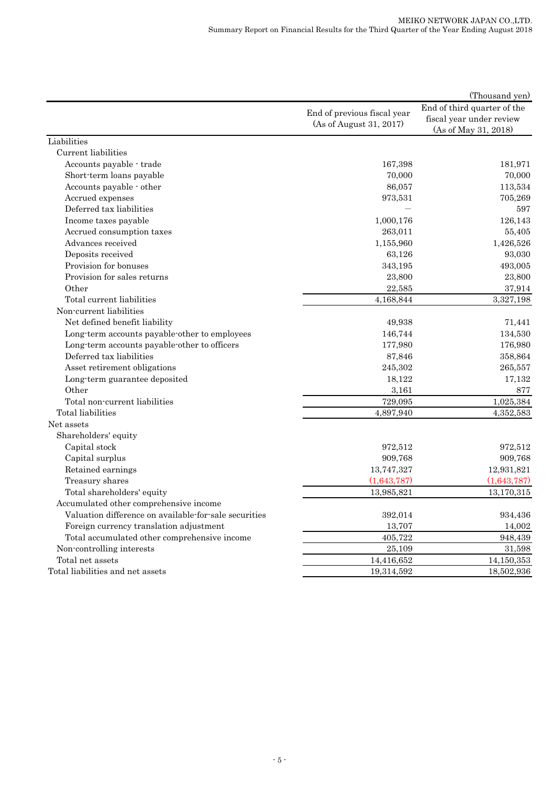|                                                       |                                                        | (Thousand yen)                                                                  |
|-------------------------------------------------------|--------------------------------------------------------|---------------------------------------------------------------------------------|
|                                                       | End of previous fiscal year<br>(As of August 31, 2017) | End of third quarter of the<br>fiscal year under review<br>(As of May 31, 2018) |
| Liabilities                                           |                                                        |                                                                                 |
| Current liabilities                                   |                                                        |                                                                                 |
| Accounts payable - trade                              | 167,398                                                | 181,971                                                                         |
| Short-term loans payable                              | 70,000                                                 | 70,000                                                                          |
| Accounts payable - other                              | 86,057                                                 | 113,534                                                                         |
| Accrued expenses                                      | 973,531                                                | 705,269                                                                         |
| Deferred tax liabilities                              |                                                        | 597                                                                             |
| Income taxes payable                                  | 1,000,176                                              | 126,143                                                                         |
| Accrued consumption taxes                             | 263,011                                                | 55,405                                                                          |
| Advances received                                     | 1,155,960                                              | 1,426,526                                                                       |
| Deposits received                                     | 63,126                                                 | 93,030                                                                          |
| Provision for bonuses                                 | 343,195                                                | 493,005                                                                         |
| Provision for sales returns                           | 23,800                                                 | 23,800                                                                          |
| Other                                                 | 22,585                                                 | 37,914                                                                          |
| Total current liabilities                             | 4,168,844                                              | 3,327,198                                                                       |
| Non-current liabilities                               |                                                        |                                                                                 |
| Net defined benefit liability                         | 49,938                                                 | 71,441                                                                          |
| Long-term accounts payable-other to employees         | 146,744                                                | 134,530                                                                         |
| Long-term accounts payable-other to officers          | 177,980                                                | 176,980                                                                         |
| Deferred tax liabilities                              | 87,846                                                 | 358,864                                                                         |
| Asset retirement obligations                          | 245,302                                                | 265,557                                                                         |
| Long-term guarantee deposited                         | 18,122                                                 | 17,132                                                                          |
| Other                                                 | 3,161                                                  | 877                                                                             |
| Total non-current liabilities                         | 729,095                                                | 1,025,384                                                                       |
| Total liabilities                                     | 4,897,940                                              | 4,352,583                                                                       |
| Net assets                                            |                                                        |                                                                                 |
| Shareholders' equity                                  |                                                        |                                                                                 |
| Capital stock                                         | 972,512                                                | 972,512                                                                         |
| Capital surplus                                       | 909,768                                                | 909,768                                                                         |
| Retained earnings                                     | 13,747,327                                             | 12,931,821                                                                      |
| Treasury shares                                       | (1,643,787)                                            | (1,643,787)                                                                     |
| Total shareholders' equity                            | 13,985,821                                             | 13,170,315                                                                      |
| Accumulated other comprehensive income                |                                                        |                                                                                 |
| Valuation difference on available-for-sale securities | 392,014                                                | 934,436                                                                         |
| Foreign currency translation adjustment               | 13,707                                                 | 14,002                                                                          |
| Total accumulated other comprehensive income          | 405,722                                                | 948,439                                                                         |
| Non-controlling interests                             | 25,109                                                 | 31,598                                                                          |
| Total net assets                                      | 14,416,652                                             | 14,150,353                                                                      |
| Total liabilities and net assets                      | 19,314,592                                             | 18,502,936                                                                      |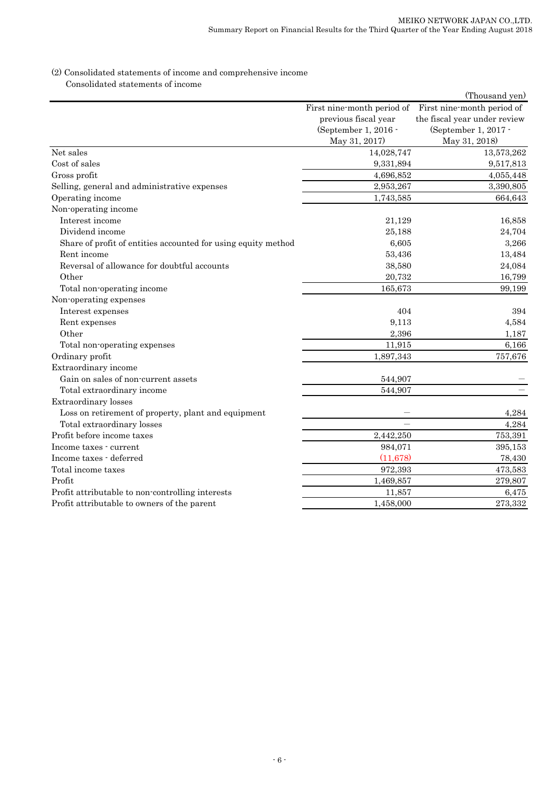#### (2) Consolidated statements of income and comprehensive income Consolidated statements of income

|                                                               |                                                                                             | (Thousand yen)                                                                                      |
|---------------------------------------------------------------|---------------------------------------------------------------------------------------------|-----------------------------------------------------------------------------------------------------|
|                                                               | First nine-month period of<br>previous fiscal year<br>(September 1, 2016 -<br>May 31, 2017) | First nine-month period of<br>the fiscal year under review<br>(September 1, 2017 -<br>May 31, 2018) |
| Net sales                                                     | 14,028,747                                                                                  | 13,573,262                                                                                          |
| Cost of sales                                                 | 9,331,894                                                                                   | 9,517,813                                                                                           |
| Gross profit                                                  | 4,696,852                                                                                   | 4,055,448                                                                                           |
| Selling, general and administrative expenses                  | 2,953,267                                                                                   | 3,390,805                                                                                           |
| Operating income                                              | 1,743,585                                                                                   | 664,643                                                                                             |
| Non-operating income                                          |                                                                                             |                                                                                                     |
| Interest income                                               | 21,129                                                                                      | 16,858                                                                                              |
| Dividend income                                               | 25,188                                                                                      | 24,704                                                                                              |
| Share of profit of entities accounted for using equity method | 6,605                                                                                       | 3,266                                                                                               |
| Rent income                                                   | 53,436                                                                                      | 13,484                                                                                              |
| Reversal of allowance for doubtful accounts                   | 38,580                                                                                      | 24,084                                                                                              |
| Other                                                         | 20,732                                                                                      | 16,799                                                                                              |
| Total non-operating income                                    | 165,673                                                                                     | 99,199                                                                                              |
| Non-operating expenses                                        |                                                                                             |                                                                                                     |
| Interest expenses                                             | 404                                                                                         | 394                                                                                                 |
| Rent expenses                                                 | 9,113                                                                                       | 4,584                                                                                               |
| Other                                                         | 2,396                                                                                       | 1,187                                                                                               |
| Total non-operating expenses                                  | 11,915                                                                                      | 6,166                                                                                               |
| Ordinary profit                                               | 1,897,343                                                                                   | 757,676                                                                                             |
| Extraordinary income                                          |                                                                                             |                                                                                                     |
| Gain on sales of non-current assets                           | 544,907                                                                                     |                                                                                                     |
| Total extraordinary income                                    | 544,907                                                                                     |                                                                                                     |
| Extraordinary losses                                          |                                                                                             |                                                                                                     |
| Loss on retirement of property, plant and equipment           |                                                                                             | 4,284                                                                                               |
| Total extraordinary losses                                    |                                                                                             | 4,284                                                                                               |
| Profit before income taxes                                    | 2,442,250                                                                                   | 753,391                                                                                             |
| Income taxes - current                                        | 984,071                                                                                     | 395,153                                                                                             |
| Income taxes - deferred                                       | (11, 678)                                                                                   | 78,430                                                                                              |
| Total income taxes                                            | 972,393                                                                                     | 473,583                                                                                             |
| Profit                                                        | 1,469,857                                                                                   | 279,807                                                                                             |
| Profit attributable to non-controlling interests              | 11,857                                                                                      | 6,475                                                                                               |
| Profit attributable to owners of the parent                   | 1,458,000                                                                                   | 273,332                                                                                             |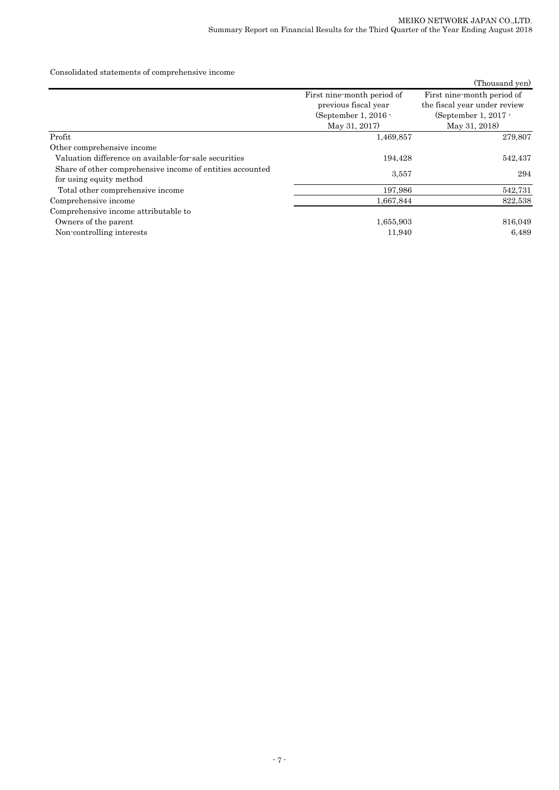Consolidated statements of comprehensive income

|                                                                                      |                            | (Thousand yen)               |  |
|--------------------------------------------------------------------------------------|----------------------------|------------------------------|--|
|                                                                                      | First nine-month period of | First nine-month period of   |  |
|                                                                                      | previous fiscal year       | the fiscal year under review |  |
|                                                                                      | (September 1, 2016 $\cdot$ | (September 1, 2017 $\cdot$   |  |
|                                                                                      | May 31, 2017)              | May 31, 2018)                |  |
| Profit                                                                               | 1,469,857                  | 279,807                      |  |
| Other comprehensive income                                                           |                            |                              |  |
| Valuation difference on available-for-sale securities                                | 194,428                    | 542,437                      |  |
| Share of other comprehensive income of entities accounted<br>for using equity method | 3.557                      | 294                          |  |
| Total other comprehensive income                                                     | 197,986                    | 542,731                      |  |
| Comprehensive income                                                                 | 1,667,844                  | 822,538                      |  |
| Comprehensive income attributable to                                                 |                            |                              |  |
| Owners of the parent                                                                 | 1,655,903                  | 816,049                      |  |
| Non-controlling interests                                                            | 11,940                     | 6,489                        |  |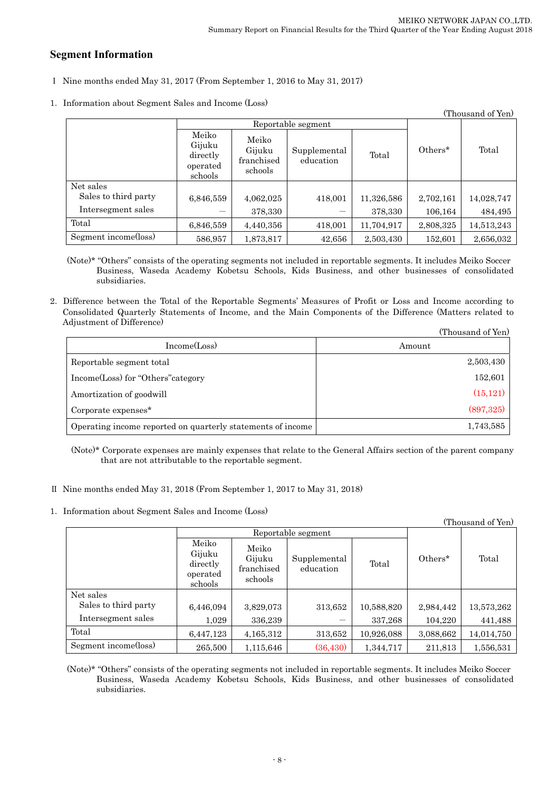# **Segment Information**

- Ⅰ Nine months ended May 31, 2017 (From September 1, 2016 to May 31, 2017)
- 1.Information about Segment Sales and Income (Loss)

| (Thousand of Yen)    |                                                    |                                          |                           |            |            |            |
|----------------------|----------------------------------------------------|------------------------------------------|---------------------------|------------|------------|------------|
|                      | Reportable segment                                 |                                          |                           |            |            |            |
|                      | Meiko<br>Gijuku<br>directly<br>operated<br>schools | Meiko<br>Gijuku<br>franchised<br>schools | Supplemental<br>education | Total      | $Others^*$ | Total      |
| Net sales            |                                                    |                                          |                           |            |            |            |
| Sales to third party | 6,846,559                                          | 4,062,025                                | 418,001                   | 11,326,586 | 2,702,161  | 14,028,747 |
| Intersegment sales   |                                                    | 378,330                                  |                           | 378,330    | 106,164    | 484,495    |
| Total                | 6,846,559                                          | 4,440,356                                | 418,001                   | 11,704,917 | 2,808,325  | 14,513,243 |
| Segment income(loss) | 586,957                                            | 1,873,817                                | 42,656                    | 2,503,430  | 152,601    | 2,656,032  |

(Note)\* "Others" consists of the operating segments not included in reportable segments. It includes Meiko Soccer Business, Waseda Academy Kobetsu Schools, Kids Business, and other businesses of consolidated subsidiaries.

2.Difference between the Total of the Reportable Segments' Measures of Profit or Loss and Income according to Consolidated Quarterly Statements of Income, and the Main Components of the Difference (Matters related to Adjustment of Difference)  $(T<sub>1</sub>)$   $(T<sub>2</sub>)$ 

|                                                             | (Thousand of Yen) |
|-------------------------------------------------------------|-------------------|
| Income(Loss)                                                | Amount            |
| Reportable segment total                                    | 2,503,430         |
| Income(Loss) for "Others" category                          | 152,601           |
| Amortization of goodwill                                    | (15, 121)         |
| Corporate expenses*                                         | (897, 325)        |
| Operating income reported on quarterly statements of income | 1,743,585         |

(Note)\* Corporate expenses are mainly expenses that relate to the General Affairs section of the parent company that are not attributable to the reportable segment.

- Ⅱ Nine months ended May 31, 2018 (From September 1, 2017 to May 31, 2018)
- 1.Information about Segment Sales and Income (Loss)

| (Thousand of Yen)    |                                                    |                                          |                           |            |           |            |
|----------------------|----------------------------------------------------|------------------------------------------|---------------------------|------------|-----------|------------|
|                      | Reportable segment                                 |                                          |                           |            |           |            |
|                      | Meiko<br>Gijuku<br>directly<br>operated<br>schools | Meiko<br>Gijuku<br>franchised<br>schools | Supplemental<br>education | Total      | Others*   | Total      |
| Net sales            |                                                    |                                          |                           |            |           |            |
| Sales to third party | 6,446,094                                          | 3,829,073                                | 313,652                   | 10,588,820 | 2,984,442 | 13,573,262 |
| Intersegment sales   | 1,029                                              | 336,239                                  |                           | 337,268    | 104,220   | 441,488    |
| Total                | 6,447,123                                          | 4,165,312                                | 313,652                   | 10,926,088 | 3,088,662 | 14,014,750 |
| Segment income(loss) | 265,500                                            | 1,115,646                                | (36, 430)                 | 1,344,717  | 211,813   | 1,556,531  |

(Note)\* "Others" consists of the operating segments not included in reportable segments. It includes Meiko Soccer Business, Waseda Academy Kobetsu Schools, Kids Business, and other businesses of consolidated subsidiaries.